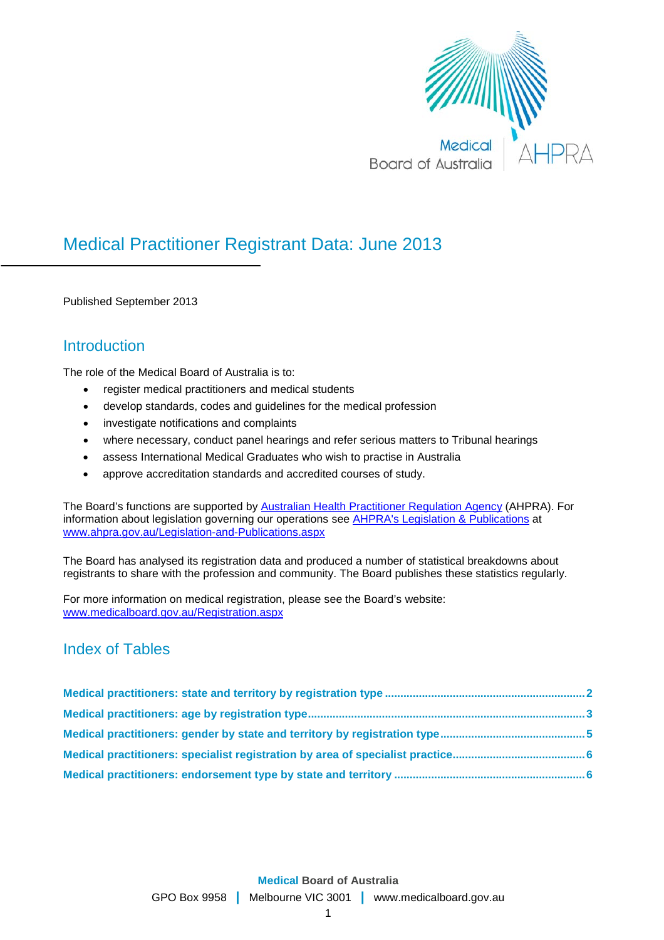

# Medical Practitioner Registrant Data: June 2013

Published September 2013

## **Introduction**

The role of the Medical Board of Australia is to:

- register medical practitioners and medical students
- develop standards, codes and guidelines for the medical profession
- investigate notifications and complaints
- where necessary, conduct panel hearings and refer serious matters to Tribunal hearings
- assess International Medical Graduates who wish to practise in Australia
- approve accreditation standards and accredited courses of study.

The Board's functions are supported by [Australian Health Practitioner Regulation Agency](http://www.ahpra.gov.au/About-AHPRA/What-We-Do.aspx) (AHPRA). For information about legislation governing our operations see [AHPRA's Legislation & Publications](http://www.ahpra.gov.au/Legislation-and-Publications.aspx) at [www.ahpra.gov.au/Legislation-and-Publications.aspx](http://www.ahpra.gov.au/Legislation-and-Publications.aspx)

The Board has analysed its registration data and produced a number of statistical breakdowns about registrants to share with the profession and community. The Board publishes these statistics regularly.

For more information on medical registration, please see the Board's website: [www.medicalboard.gov.au/Registration.aspx](http://www.medicalboard.gov.au/Registration.aspx)

## Index of Tables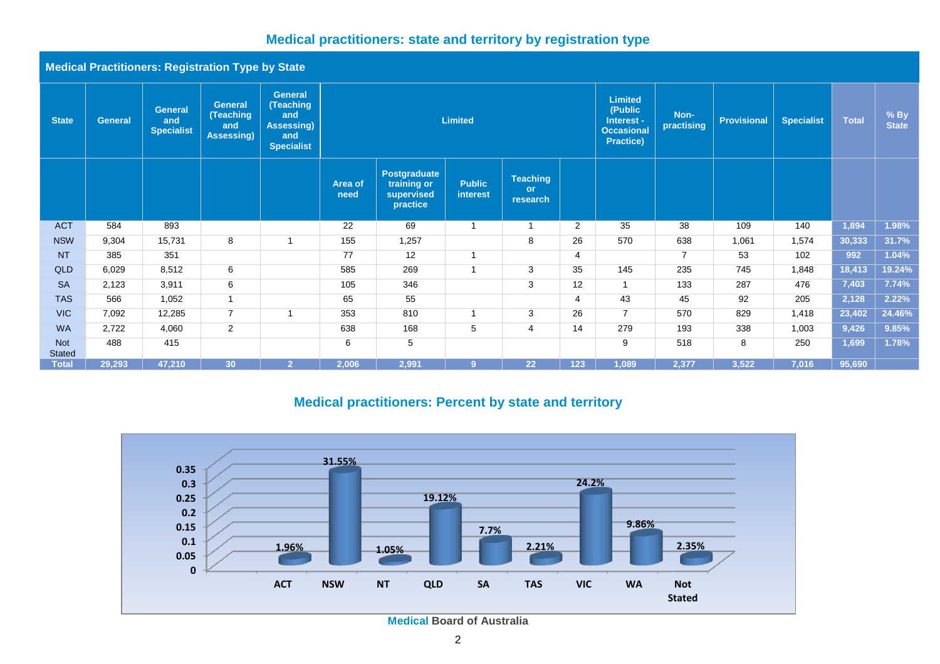## **Medical practitioners: state and territory by registration type**

**Medical Practitioners: Registration Type by State**

| <b>State</b>                | <b>General</b> | <b>General</b><br>and<br><b>Specialist</b> | <b>General</b><br>(Teaching<br>and<br>Assessing) | <b>General</b><br><b>Teaching</b><br>and<br>Assessing)<br>and<br><b>Specialist</b> | <b>Limited</b>  |                                                              |                           |                                          |                | <b>Limited</b><br>(Public<br>Interest -<br><b>Occasional</b><br><b>Practice)</b> | Non-<br>practising | <b>Provisional</b> | <b>Specialist</b> | <b>Total</b> | $%$ By<br><b>State</b> |
|-----------------------------|----------------|--------------------------------------------|--------------------------------------------------|------------------------------------------------------------------------------------|-----------------|--------------------------------------------------------------|---------------------------|------------------------------------------|----------------|----------------------------------------------------------------------------------|--------------------|--------------------|-------------------|--------------|------------------------|
|                             |                |                                            |                                                  |                                                                                    | Area of<br>need | <b>Postgraduate</b><br>training or<br>supervised<br>practice | <b>Public</b><br>interest | <b>Teaching</b><br><b>or</b><br>research |                |                                                                                  |                    |                    |                   |              |                        |
| <b>ACT</b>                  | 584            | 893                                        |                                                  |                                                                                    | 22              | 69                                                           |                           |                                          | 2              | 35                                                                               | 38                 | 109                | 140               | 1,894        | 1.98%                  |
| <b>NSW</b>                  | 9,304          | 15,731                                     | 8                                                |                                                                                    | 155             | 1,257                                                        |                           | 8                                        | 26             | 570                                                                              | 638                | 1,061              | 1,574             | 30,333       | 31.7%                  |
| <b>NT</b>                   | 385            | 351                                        |                                                  |                                                                                    | 77              | 12                                                           |                           |                                          | $\overline{4}$ |                                                                                  | $\overline{7}$     | 53                 | 102               | 992          | 1.04%                  |
| <b>QLD</b>                  | 6,029          | 8,512                                      | 6                                                |                                                                                    | 585             | 269                                                          |                           | 3                                        | 35             | 145                                                                              | 235                | 745                | 1,848             | 18,413       | 19.24%                 |
| <b>SA</b>                   | 2,123          | 3,911                                      | 6                                                |                                                                                    | 105             | 346                                                          |                           | 3                                        | 12             | $\overline{ }$                                                                   | 133                | 287                | 476               | 7,403        | 7.74%                  |
| <b>TAS</b>                  | 566            | 1,052                                      | $\mathbf{1}$                                     |                                                                                    | 65              | 55                                                           |                           |                                          | $\overline{4}$ | 43                                                                               | 45                 | 92                 | 205               | 2,128        | 2.22%                  |
| <b>VIC</b>                  | 7,092          | 12,285                                     | $\overline{7}$                                   |                                                                                    | 353             | 810                                                          |                           | 3                                        | 26             | $\overline{7}$                                                                   | 570                | 829                | 1,418             | 23,402       | 24.46%                 |
| <b>WA</b>                   | 2,722          | 4,060                                      | $\overline{2}$                                   |                                                                                    | 638             | 168                                                          | 5                         | $\overline{4}$                           | 14             | 279                                                                              | 193                | 338                | 1,003             | 9,426        | 9.85%                  |
| <b>Not</b><br><b>Stated</b> | 488            | 415                                        |                                                  |                                                                                    | 6               | 5                                                            |                           |                                          |                | 9                                                                                | 518                | 8                  | 250               | 1,699        | 1.78%                  |
| <b>Total</b>                | 29,293         | 47,210                                     | 30                                               | $\mathcal{D}$                                                                      | 2,006           | 2,991                                                        |                           | 22                                       | 123            | 1,089                                                                            | 2,377              | 3,522              | 7,016             | 95,690       |                        |

## **Medical practitioners: Percent by state and territory**

<span id="page-1-0"></span>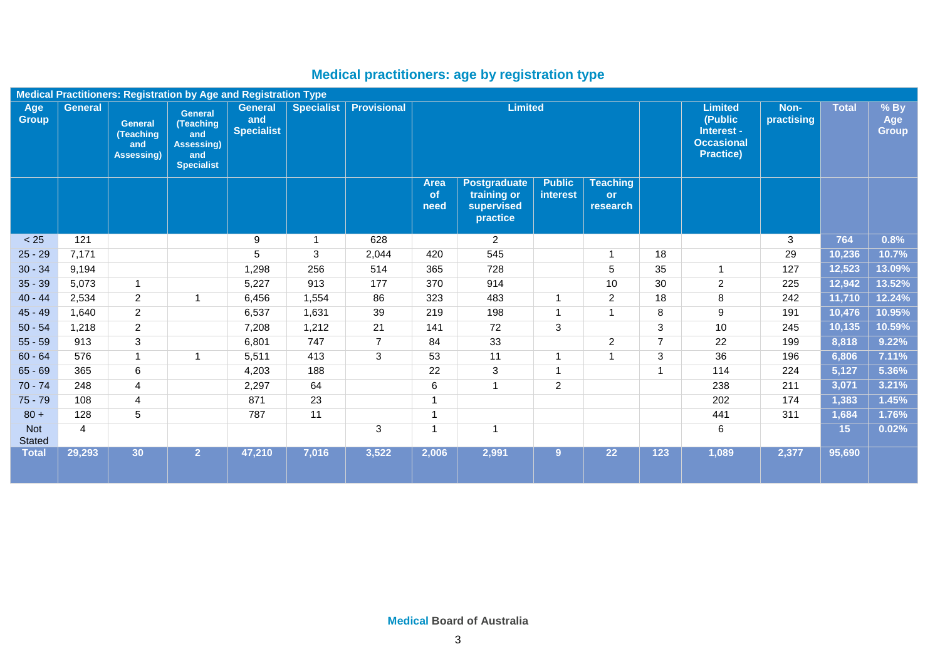# **Medical practitioners: age by registration type**

<span id="page-2-0"></span>

|                      | <b>Medical Practitioners: Registration by Age and Registration Type</b> |                                                         |                                                                                     |                                            |                   |                    |                           |                                                              |                                  |                                          |                         |                                                                                  |                    |                 |                               |
|----------------------|-------------------------------------------------------------------------|---------------------------------------------------------|-------------------------------------------------------------------------------------|--------------------------------------------|-------------------|--------------------|---------------------------|--------------------------------------------------------------|----------------------------------|------------------------------------------|-------------------------|----------------------------------------------------------------------------------|--------------------|-----------------|-------------------------------|
| Age<br><b>Group</b>  | <b>General</b>                                                          | <b>General</b><br>(Teaching<br>and<br><b>Assessing)</b> | <b>General</b><br>(Teaching<br>and<br><b>Assessing)</b><br>and<br><b>Specialist</b> | <b>General</b><br>and<br><b>Specialist</b> | <b>Specialist</b> | <b>Provisional</b> |                           | <b>Limited</b>                                               |                                  |                                          |                         | <b>Limited</b><br>(Public<br>Interest -<br><b>Occasional</b><br><b>Practice)</b> | Non-<br>practising | <b>Total</b>    | $%$ By<br>Age<br><b>Group</b> |
|                      |                                                                         |                                                         |                                                                                     |                                            |                   |                    | <b>Area</b><br>of<br>need | <b>Postgraduate</b><br>training or<br>supervised<br>practice | <b>Public</b><br><b>interest</b> | <b>Teaching</b><br><b>or</b><br>research |                         |                                                                                  |                    |                 |                               |
| < 25                 | 121                                                                     |                                                         |                                                                                     | 9                                          | 1                 | 628                |                           | $\overline{2}$                                               |                                  |                                          |                         |                                                                                  | 3                  | 764             | 0.8%                          |
| $25 - 29$            | 7,171                                                                   |                                                         |                                                                                     | $\sqrt{5}$                                 | 3                 | 2,044              | 420                       | 545                                                          |                                  | $\overline{1}$                           | 18                      |                                                                                  | 29                 | 10,236          | 10.7%                         |
| $30 - 34$            | 9,194                                                                   |                                                         |                                                                                     | 1,298                                      | 256               | 514                | 365                       | 728                                                          |                                  | 5                                        | 35                      | $\overline{1}$                                                                   | 127                | 12,523          | 13.09%                        |
| $35 - 39$            | 5,073                                                                   | $\overline{1}$                                          |                                                                                     | 5,227                                      | 913               | 177                | 370                       | 914                                                          |                                  | 10                                       | 30                      | 2                                                                                | 225                | 12,942          | 13.52%                        |
| $40 - 44$            | 2,534                                                                   | $\overline{c}$                                          | 1                                                                                   | 6,456                                      | 1,554             | 86                 | 323                       | 483                                                          | $\mathbf{1}$                     | $\overline{c}$                           | 18                      | 8                                                                                | 242                | 11,710          | 12.24%                        |
| $45 - 49$            | 1,640                                                                   | $\overline{c}$                                          |                                                                                     | 6,537                                      | 1,631             | 39                 | 219                       | 198                                                          | $\mathbf{1}$                     | $\overline{1}$                           | 8                       | 9                                                                                | 191                | 10,476          | 10.95%                        |
| $50 - 54$            | 1.218                                                                   | $\overline{2}$                                          |                                                                                     | 7,208                                      | 1,212             | 21                 | 141                       | 72                                                           | 3                                |                                          | 3                       | 10 <sup>1</sup>                                                                  | 245                | 10,135          | 10.59%                        |
| $55 - 59$            | 913                                                                     | $\overline{3}$                                          |                                                                                     | 6,801                                      | 747               | $\overline{7}$     | 84                        | 33                                                           |                                  | $\overline{c}$                           | $\overline{7}$          | 22                                                                               | 199                | 8,818           | 9.22%                         |
| $60 - 64$            | 576                                                                     | $\mathbf{1}$                                            | 1                                                                                   | 5,511                                      | 413               | 3                  | 53                        | 11                                                           | $\overline{1}$                   | $\overline{1}$                           | 3                       | 36                                                                               | 196                | 6,806           | 7.11%                         |
| $65 - 69$            | 365                                                                     | 6                                                       |                                                                                     | 4,203                                      | 188               |                    | 22                        | 3                                                            | $\mathbf{1}$                     |                                          | $\overline{\mathbf{1}}$ | 114                                                                              | 224                | 5,127           | 5.36%                         |
| $70 - 74$            | 248                                                                     | 4                                                       |                                                                                     | 2,297                                      | 64                |                    | 6                         | $\overline{1}$                                               | 2                                |                                          |                         | 238                                                                              | 211                | 3,071           | 3.21%                         |
| $75 - 79$            | 108                                                                     | 4                                                       |                                                                                     | 871                                        | 23                |                    | $\overline{ }$            |                                                              |                                  |                                          |                         | 202                                                                              | 174                | 1,383           | 1.45%                         |
| $80 +$               | 128                                                                     | 5                                                       |                                                                                     | 787                                        | 11                |                    | 1                         |                                                              |                                  |                                          |                         | 441                                                                              | 311                | 1,684           | 1.76%                         |
| Not<br><b>Stated</b> | $\overline{4}$                                                          |                                                         |                                                                                     |                                            |                   | 3                  |                           |                                                              |                                  |                                          |                         | 6                                                                                |                    | 15 <sub>1</sub> | 0.02%                         |
| <b>Total</b>         | 29,293                                                                  | 30                                                      | 2 <sup>7</sup>                                                                      | 47,210                                     | 7,016             | 3,522              | 2,006                     | 2,991                                                        | 9                                | $\overline{22}$                          | 123                     | 1,089                                                                            | 2,377              | 95,690          |                               |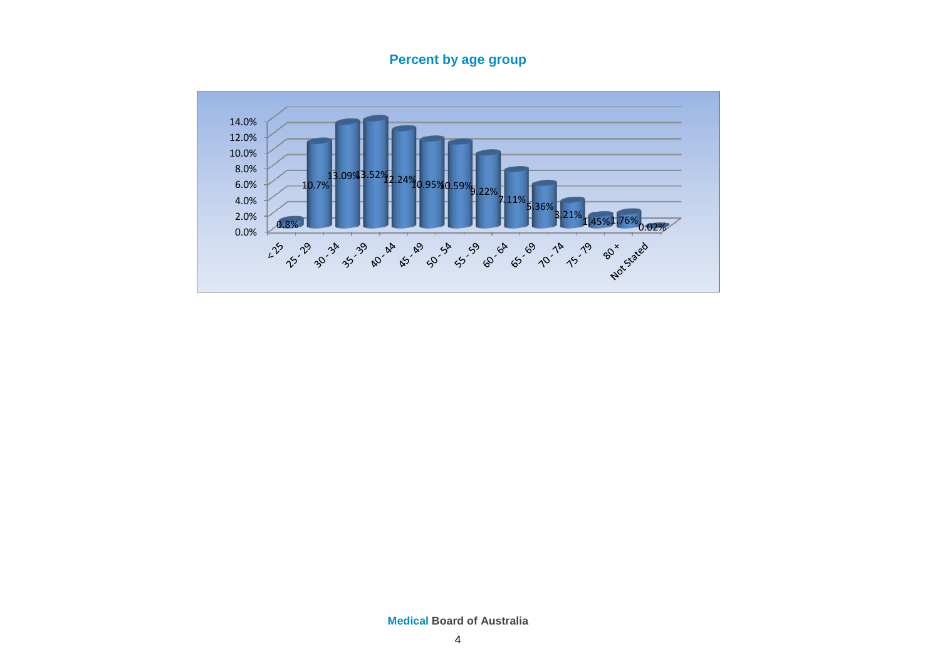## **Percent by age group**

<span id="page-3-0"></span>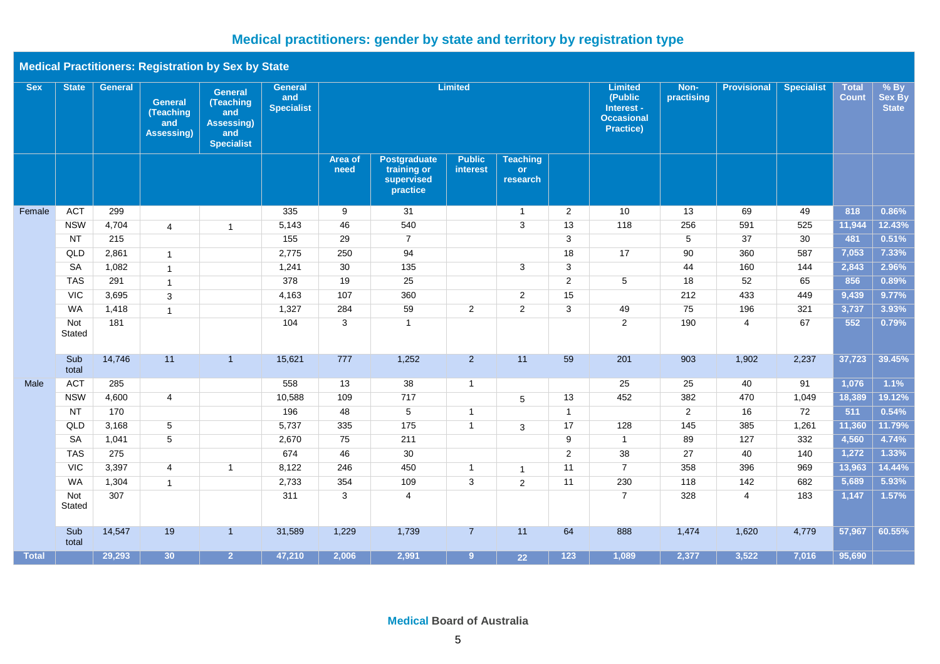# **Medical practitioners: gender by state and territory by registration type**

| <b>Medical Practitioners: Registration by Sex by State</b> |  |  |  |
|------------------------------------------------------------|--|--|--|
|------------------------------------------------------------|--|--|--|

| <b>Sex</b>   | <b>State</b>  | <b>General</b> | <b>General</b><br>(Teaching<br>and<br>Assessing) | <b>General</b><br>(Teaching<br>and<br><b>Assessing)</b><br>and<br><b>Specialist</b> | <b>General</b><br>and<br><b>Specialist</b> | <b>Limited</b>  |                                                       |                           |                                          |                  | <b>Limited</b><br>(Public<br>Interest -<br><b>Occasional</b><br><b>Practice)</b> | Non-<br>practising | <b>Provisional</b> | <b>Specialist</b> | <b>Total</b><br><b>Count</b> | $%$ By<br>Sex By<br><b>State</b> |
|--------------|---------------|----------------|--------------------------------------------------|-------------------------------------------------------------------------------------|--------------------------------------------|-----------------|-------------------------------------------------------|---------------------------|------------------------------------------|------------------|----------------------------------------------------------------------------------|--------------------|--------------------|-------------------|------------------------------|----------------------------------|
|              |               |                |                                                  |                                                                                     |                                            | Area of<br>need | Postgraduate<br>training or<br>supervised<br>practice | <b>Public</b><br>interest | <b>Teaching</b><br><b>or</b><br>research |                  |                                                                                  |                    |                    |                   |                              |                                  |
| Female       | <b>ACT</b>    | 299            |                                                  |                                                                                     | 335                                        | 9               | 31                                                    |                           | $\mathbf{1}$                             | $\overline{2}$   | 10                                                                               | 13                 | 69                 | 49                | 818                          | 0.86%                            |
|              | <b>NSW</b>    | 4,704          | $\overline{4}$                                   | $\overline{1}$                                                                      | 5,143                                      | 46              | 540                                                   |                           | 3                                        | 13               | 118                                                                              | 256                | 591                | 525               | 11,944                       | 12.43%                           |
|              | <b>NT</b>     | 215            |                                                  |                                                                                     | 155                                        | 29              | $\overline{7}$                                        |                           |                                          | $\overline{3}$   |                                                                                  | $5\overline{)}$    | 37                 | 30                | 481                          | 0.51%                            |
|              | QLD           | 2,861          | $\mathbf{1}$                                     |                                                                                     | 2,775                                      | 250             | 94                                                    |                           |                                          | 18               | 17                                                                               | 90                 | 360                | 587               | 7,053                        | 7.33%                            |
|              | SA            | 1,082          | $\mathbf{1}$                                     |                                                                                     | 1,241                                      | 30              | 135                                                   |                           | 3                                        | $\overline{3}$   |                                                                                  | 44                 | 160                | 144               | 2,843                        | 2.96%                            |
|              | <b>TAS</b>    | 291            | $\mathbf{1}$                                     |                                                                                     | 378                                        | 19              | 25                                                    |                           |                                          | 2                | 5                                                                                | 18                 | 52                 | 65                | 856                          | 0.89%                            |
|              | VIC           | 3,695          | 3                                                |                                                                                     | 4,163                                      | 107             | 360                                                   |                           | $\overline{2}$                           | 15               |                                                                                  | 212                | 433                | 449               | 9,439                        | 9.77%                            |
|              | <b>WA</b>     | 1,418          | $\mathbf{1}$                                     |                                                                                     | 1,327                                      | 284             | 59                                                    | $\overline{\mathbf{c}}$   | $\overline{2}$                           | 3                | 49                                                                               | 75                 | 196                | 321               | 3,737                        | 3.93%                            |
|              | Not<br>Stated | 181            |                                                  |                                                                                     | 104                                        | 3               | $\overline{1}$                                        |                           |                                          |                  | $\overline{2}$                                                                   | 190                | 4                  | 67                | 552                          | 0.79%                            |
|              | Sub<br>total  | 14,746         | 11                                               | $\overline{1}$                                                                      | 15,621                                     | 777             | 1,252                                                 | $2^{\circ}$               | 11                                       | 59               | 201                                                                              | 903                | 1,902              | 2,237             | 37,723                       | 39.45%                           |
| Male         | <b>ACT</b>    | 285            |                                                  |                                                                                     | 558                                        | 13              | 38                                                    | $\mathbf{1}$              |                                          |                  | 25                                                                               | 25                 | 40                 | 91                | 1,076                        | 1.1%                             |
|              | <b>NSW</b>    | 4,600          | $\overline{4}$                                   |                                                                                     | 10,588                                     | 109             | 717                                                   |                           | $\overline{5}$                           | 13               | 452                                                                              | 382                | 470                | 1,049             | 18,389                       | 19.12%                           |
|              | <b>NT</b>     | 170            |                                                  |                                                                                     | 196                                        | 48              | 5                                                     | $\mathbf{1}$              |                                          | $\mathbf{1}$     |                                                                                  | $\overline{2}$     | 16                 | 72                | 511                          | 0.54%                            |
|              | QLD           | 3,168          | $5\overline{)}$                                  |                                                                                     | 5,737                                      | 335             | 175                                                   | $\mathbf{1}$              | 3                                        | 17               | 128                                                                              | 145                | 385                | 1,261             | 11,360                       | 11.79%                           |
|              | <b>SA</b>     | 1,041          | 5                                                |                                                                                     | 2,670                                      | 75              | 211                                                   |                           |                                          | 9                | $\mathbf{1}$                                                                     | 89                 | 127                | 332               | 4,560                        | 4.74%                            |
|              | <b>TAS</b>    | 275            |                                                  |                                                                                     | 674                                        | 46              | 30                                                    |                           |                                          | $\overline{2}$   | 38                                                                               | 27                 | 40                 | 140               | 1,272                        | 1.33%                            |
|              | <b>VIC</b>    | 3,397          | $\overline{4}$                                   | $\overline{1}$                                                                      | 8,122                                      | 246             | 450                                                   | $\mathbf{1}$              | $\mathbf{1}$                             | 11               | $\overline{7}$                                                                   | 358                | 396                | 969               | 13,963                       | 14.44%                           |
|              | <b>WA</b>     | 1,304          | $\mathbf{1}$                                     |                                                                                     | 2,733                                      | 354             | 109                                                   | 3                         | $\overline{2}$                           | 11               | 230                                                                              | 118                | 142                | 682               | 5,689                        | 5.93%                            |
|              | Not<br>Stated | 307            |                                                  |                                                                                     | 311                                        | 3               | 4                                                     |                           |                                          |                  | $\overline{7}$                                                                   | 328                | 4                  | 183               | 1,147                        | 1.57%                            |
|              | Sub<br>total  | 14,547         | 19                                               | $\overline{1}$                                                                      | 31,589                                     | 1,229           | 1,739                                                 | $\overline{7}$            | 11                                       | 64               | 888                                                                              | 1,474              | 1,620              | 4,779             | 57,967                       | 60.55%                           |
| <b>Total</b> |               | 29,293         | 30 <sup>7</sup>                                  | 2 <sup>1</sup>                                                                      | 47,210                                     | 2,006           | 2,991                                                 | 9 <sup>°</sup>            | 22                                       | $\overline{123}$ | 1,089                                                                            | 2,377              | 3,522              | 7,016             | 95,690                       |                                  |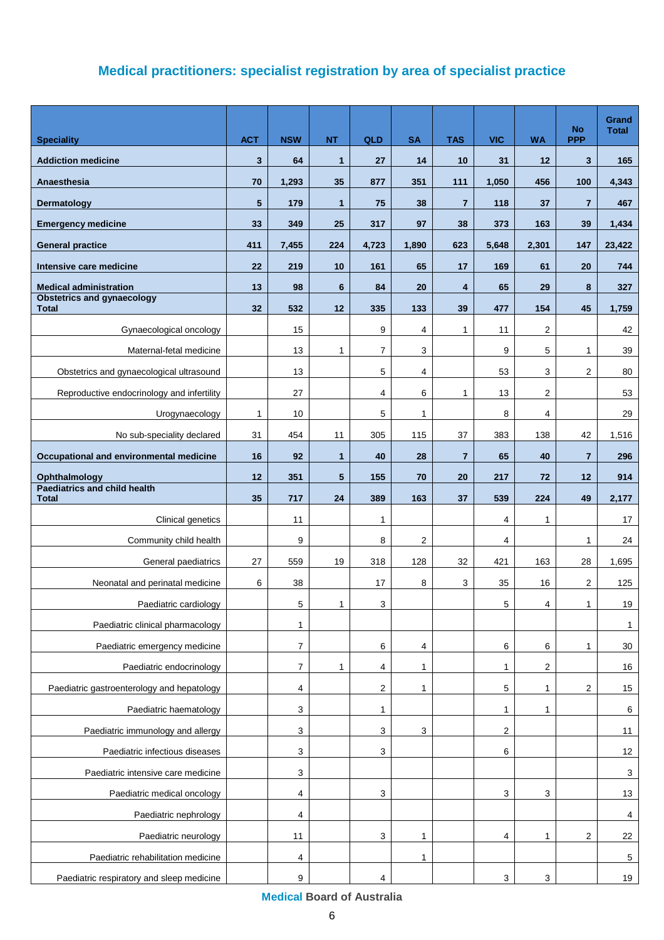# **Medical practitioners: specialist registration by area of specialist practice**

<span id="page-5-1"></span><span id="page-5-0"></span>

| <b>Speciality</b>                                   | <b>ACT</b>      | <b>NSW</b>   | <b>NT</b>       | QLD   | <b>SA</b>    | <b>TAS</b>     | <b>VIC</b>   | <b>WA</b>               | <b>No</b><br><b>PPP</b> | Grand<br><b>Total</b> |
|-----------------------------------------------------|-----------------|--------------|-----------------|-------|--------------|----------------|--------------|-------------------------|-------------------------|-----------------------|
| <b>Addiction medicine</b>                           | $\mathbf{3}$    | 64           | $\mathbf{1}$    | 27    | 14           | 10             | 31           | 12                      | $\mathbf{3}$            | 165                   |
| Anaesthesia                                         | 70              | 1,293        | 35              | 877   | 351          | 111            | 1,050        | 456                     | 100                     | 4,343                 |
| Dermatology                                         | $5\phantom{.0}$ | 179          | $\mathbf{1}$    | 75    | 38           | $\overline{7}$ | 118          | 37                      | $\overline{7}$          | 467                   |
| <b>Emergency medicine</b>                           | 33              | 349          | 25              | 317   | 97           | 38             | 373          | 163                     | 39                      | 1,434                 |
| <b>General practice</b>                             | 411             | 7,455        | 224             | 4,723 | 1,890        | 623            | 5,648        | 2,301                   | 147                     | 23,422                |
| Intensive care medicine                             | 22              | 219          | 10              | 161   | 65           | 17             | 169          | 61                      | 20                      | 744                   |
| <b>Medical administration</b>                       | 13              | 98           | 6               | 84    | 20           | 4              | 65           | 29                      | 8                       | 327                   |
| <b>Obstetrics and gynaecology</b><br><b>Total</b>   | 32              | 532          | 12              | 335   | 133          | 39             | 477          | 154                     | 45                      | 1,759                 |
| Gynaecological oncology                             |                 | 15           |                 | 9     | 4            | $\mathbf{1}$   | 11           | 2                       |                         | 42                    |
| Maternal-fetal medicine                             |                 | 13           | 1               | 7     | 3            |                | 9            | 5                       | 1                       | 39                    |
| Obstetrics and gynaecological ultrasound            |                 | 13           |                 | 5     | 4            |                | 53           | 3                       | 2                       | 80                    |
| Reproductive endocrinology and infertility          |                 | 27           |                 | 4     | 6            | $\mathbf{1}$   | 13           | 2                       |                         | 53                    |
| Urogynaecology                                      | $\mathbf{1}$    | 10           |                 | 5     | $\mathbf{1}$ |                | 8            | 4                       |                         | 29                    |
| No sub-speciality declared                          | 31              | 454          | 11              | 305   | 115          | 37             | 383          | 138                     | 42                      | 1,516                 |
| Occupational and environmental medicine             | 16              | 92           | $\mathbf{1}$    | 40    | 28           | $\overline{7}$ | 65           | 40                      | $\overline{7}$          | 296                   |
| Ophthalmology                                       | 12              | 351          | $5\phantom{.0}$ | 155   | 70           | 20             | 217          | 72                      | 12                      | 914                   |
| <b>Paediatrics and child health</b><br><b>Total</b> | 35              | 717          | 24              | 389   | 163          | 37             | 539          | 224                     | 49                      | 2,177                 |
| Clinical genetics                                   |                 | 11           |                 | 1     |              |                | 4            | 1                       |                         | 17                    |
| Community child health                              |                 | 9            |                 | 8     | 2            |                | 4            |                         | 1                       | 24                    |
| General paediatrics                                 | 27              | 559          | 19              | 318   | 128          | 32             | 421          | 163                     | 28                      | 1,695                 |
| Neonatal and perinatal medicine                     | 6               | 38           |                 | 17    | 8            | 3              | 35           | 16                      | 2                       | 125                   |
| Paediatric cardiology                               |                 | 5            | $\mathbf{1}$    | 3     |              |                | 5            | $\overline{\mathbf{A}}$ | $\mathbf{1}$            | 19                    |
| Paediatric clinical pharmacology                    |                 | $\mathbf{1}$ |                 |       |              |                |              |                         |                         | $\mathbf{1}$          |
| Paediatric emergency medicine                       |                 | 7            |                 | 6     | 4            |                | 6            | 6                       | 1                       | $30\,$                |
| Paediatric endocrinology                            |                 | 7            | 1               | 4     | 1            |                | $\mathbf{1}$ | 2                       |                         | 16                    |
| Paediatric gastroenterology and hepatology          |                 | 4            |                 | 2     | 1            |                | 5            | 1                       | 2                       | 15                    |
| Paediatric haematology                              |                 | 3            |                 | 1     |              |                | 1            | 1                       |                         | 6                     |
| Paediatric immunology and allergy                   |                 | 3            |                 | 3     | 3            |                | 2            |                         |                         | 11                    |
| Paediatric infectious diseases                      |                 | 3            |                 | 3     |              |                | 6            |                         |                         | 12                    |
| Paediatric intensive care medicine                  |                 | 3            |                 |       |              |                |              |                         |                         | $\mathbf{3}$          |
| Paediatric medical oncology                         |                 | 4            |                 | 3     |              |                | 3            | 3                       |                         | 13                    |
| Paediatric nephrology                               |                 | 4            |                 |       |              |                |              |                         |                         | 4                     |
| Paediatric neurology                                |                 | 11           |                 | 3     | 1            |                | 4            | 1                       | 2                       | 22                    |
| Paediatric rehabilitation medicine                  |                 | 4            |                 |       | 1            |                |              |                         |                         | $5\phantom{.0}$       |
| Paediatric respiratory and sleep medicine           |                 | 9            |                 | 4     |              |                | 3            | 3                       |                         | 19                    |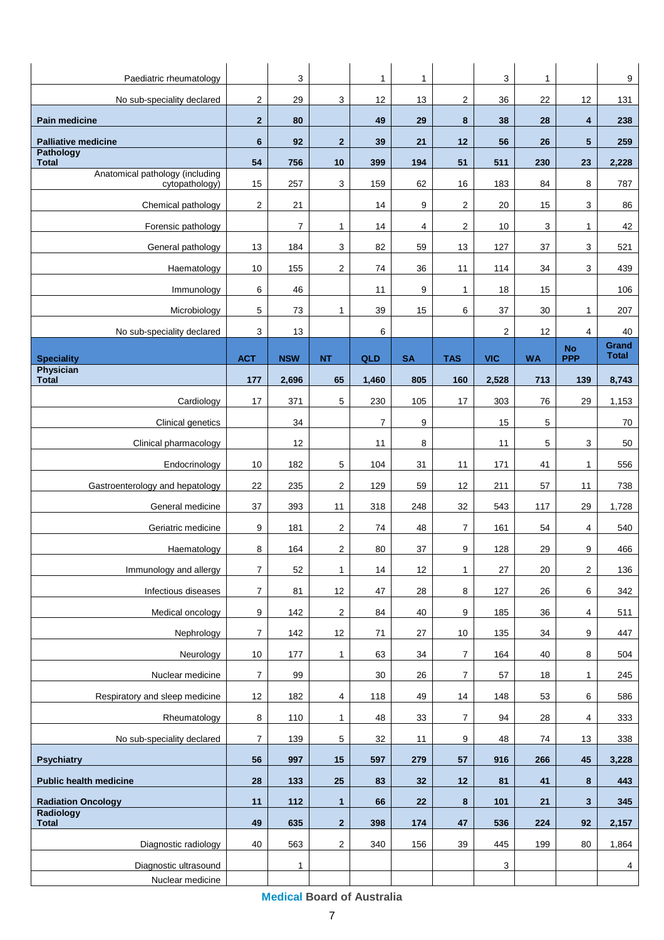| Paediatric rheumatology                           |                         | 3              |                         | 1              | 1         |                | 3              | 1         |                         | $\boldsymbol{9}$      |
|---------------------------------------------------|-------------------------|----------------|-------------------------|----------------|-----------|----------------|----------------|-----------|-------------------------|-----------------------|
| No sub-speciality declared                        | $\overline{\mathbf{c}}$ | 29             | 3                       | 12             | 13        | $\overline{c}$ | 36             | 22        | 12                      | 131                   |
| <b>Pain medicine</b>                              | $\overline{2}$          | 80             |                         | 49             | 29        | 8              | 38             | 28        | 4                       | 238                   |
| <b>Palliative medicine</b>                        | 6                       | 92             | $\mathbf{2}$            | 39             | 21        | 12             | 56             | 26        | $5\phantom{.0}$         | 259                   |
| <b>Pathology</b><br><b>Total</b>                  | 54                      | 756            | 10                      | 399            | 194       | 51             | 511            | 230       | 23                      | 2,228                 |
| Anatomical pathology (including<br>cytopathology) | 15                      | 257            | 3                       | 159            | 62        | 16             | 183            | 84        | 8                       | 787                   |
| Chemical pathology                                | $\overline{c}$          | 21             |                         | 14             | 9         | $\overline{2}$ | 20             | 15        | 3                       | 86                    |
| Forensic pathology                                |                         | $\overline{7}$ | $\mathbf{1}$            | 14             | 4         | $\overline{2}$ | 10             | 3         | 1                       | 42                    |
| General pathology                                 | 13                      | 184            | 3                       | 82             | 59        | 13             | 127            | 37        | 3                       | 521                   |
| Haematology                                       | 10                      | 155            | $\overline{\mathbf{c}}$ | 74             | 36        | 11             | 114            | 34        | 3                       | 439                   |
| Immunology                                        | 6                       | 46             |                         | 11             | 9         | $\mathbf{1}$   | 18             | 15        |                         | 106                   |
| Microbiology                                      | 5                       | 73             | $\mathbf{1}$            | 39             | 15        | 6              | 37             | 30        | 1                       | 207                   |
| No sub-speciality declared                        | 3                       | 13             |                         | 6              |           |                | $\overline{2}$ | 12        | 4                       | 40                    |
| <b>Speciality</b>                                 | <b>ACT</b>              | <b>NSW</b>     | <b>NT</b>               | QLD            | <b>SA</b> | <b>TAS</b>     | <b>VIC</b>     | <b>WA</b> | <b>No</b><br><b>PPP</b> | Grand<br><b>Total</b> |
| Physician<br><b>Total</b>                         | 177                     | 2,696          | 65                      | 1,460          | 805       | 160            | 2,528          | 713       | 139                     | 8,743                 |
| Cardiology                                        | 17                      | 371            | 5                       | 230            | 105       | 17             | 303            | 76        | 29                      | 1,153                 |
| Clinical genetics                                 |                         | 34             |                         | $\overline{7}$ | 9         |                | 15             | 5         |                         | 70                    |
| Clinical pharmacology                             |                         | 12             |                         | 11             | 8         |                | 11             | 5         | 3                       | 50                    |
| Endocrinology                                     | 10                      | 182            | 5                       | 104            | 31        | 11             | 171            | 41        | 1                       | 556                   |
| Gastroenterology and hepatology                   | 22                      | 235            | $\overline{c}$          | 129            | 59        | 12             | 211            | 57        | 11                      | 738                   |
| General medicine                                  | 37                      | 393            | 11                      | 318            | 248       | 32             | 543            | 117       | 29                      | 1,728                 |
| Geriatric medicine                                | 9                       | 181            | $\overline{2}$          | 74             | 48        | $\overline{7}$ | 161            | 54        | 4                       | 540                   |
|                                                   | 8                       | 164            | $\overline{2}$          | 80             | 37        | 9              | 128            | 29        | 9                       | 466                   |
| Haematology<br>Immunology and allergy             | $\overline{7}$          | 52             | $\mathbf{1}$            | 14             | 12        | $\mathbf{1}$   | 27             | 20        | $\mathbf 2$             | 136                   |
| Infectious diseases                               | $\boldsymbol{7}$        | 81             | 12                      | 47             | 28        | 8              | 127            | 26        | 6                       | 342                   |
| Medical oncology                                  | 9                       | 142            | 2                       | 84             | 40        | 9              | 185            | 36        | 4                       | 511                   |
| Nephrology                                        | $\boldsymbol{7}$        | 142            | 12                      | 71             | 27        | 10             | 135            | 34        | 9                       | 447                   |
| Neurology                                         | $10$                    | 177            | $\mathbf{1}$            | 63             | 34        | $\overline{7}$ | 164            | 40        | 8                       | 504                   |
| Nuclear medicine                                  | $\boldsymbol{7}$        | 99             |                         | 30             | 26        | $\overline{7}$ | 57             | 18        | 1                       | 245                   |
| Respiratory and sleep medicine                    | 12                      | 182            | $\overline{4}$          | 118            | 49        | 14             | 148            | 53        | 6                       | 586                   |
| Rheumatology                                      | 8                       | 110            | $\mathbf{1}$            | 48             | 33        | $\overline{7}$ | 94             | 28        | 4                       | 333                   |
| No sub-speciality declared                        | 7                       | 139            | 5                       | 32             | 11        | 9              | 48             | 74        | 13                      | 338                   |
| <b>Psychiatry</b>                                 | 56                      | 997            | 15                      | 597            | 279       | 57             | 916            | 266       | 45                      | 3,228                 |
| <b>Public health medicine</b>                     | 28                      | 133            | 25                      | 83             | 32        | 12             | 81             | 41        | 8                       | 443                   |
| <b>Radiation Oncology</b>                         | 11                      | 112            | $\mathbf{1}$            | 66             | 22        | 8              | 101            | 21        | 3                       | 345                   |
| <b>Radiology</b><br><b>Total</b>                  | 49                      | 635            | $\mathbf{2}$            | 398            | 174       | 47             | 536            | 224       | 92                      | 2,157                 |
| Diagnostic radiology                              | 40                      | 563            | $\overline{2}$          | 340            | 156       | 39             | 445            | 199       | 80                      | 1,864                 |
| Diagnostic ultrasound                             |                         | 1              |                         |                |           |                | $\mathsf 3$    |           |                         | 4                     |
| Nuclear medicine                                  |                         |                |                         |                |           |                |                |           |                         |                       |